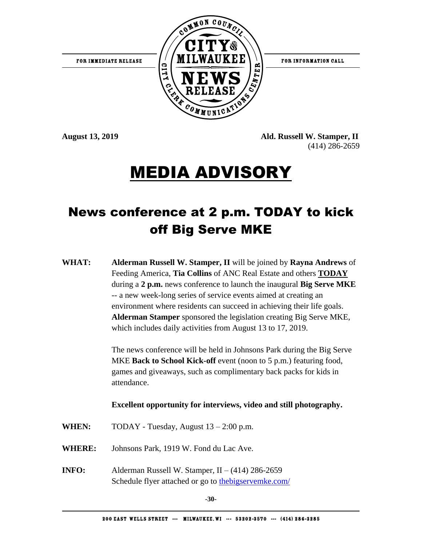FOR INFORMATION CALL



**August 13, 2019 Ald. Russell W. Stamper, II** (414) 286-2659

# MEDIA ADVISORY

# News conference at 2 p.m. TODAY to kick off Big Serve MKE

**WHAT: Alderman Russell W. Stamper, II** will be joined by **Rayna Andrews** of Feeding America, **Tia Collins** of ANC Real Estate and others **TODAY** during a **2 p.m.** news conference to launch the inaugural **Big Serve MKE** -- a new week-long series of service events aimed at creating an environment where residents can succeed in achieving their life goals. **Alderman Stamper** sponsored the legislation creating Big Serve MKE, which includes daily activities from August 13 to 17, 2019.

> The news conference will be held in Johnsons Park during the Big Serve MKE **Back to School Kick-off** event (noon to 5 p.m.) featuring food, games and giveaways, such as complimentary back packs for kids in attendance.

# **Excellent opportunity for interviews, video and still photography.**

- WHEN: TODAY Tuesday, August  $13 2:00$  p.m.
- **WHERE:** Johnsons Park, 1919 W. Fond du Lac Ave.
- **INFO:** Alderman Russell W. Stamper, II (414) 286-2659 Schedule flyer attached or go to the bigservemke.com/